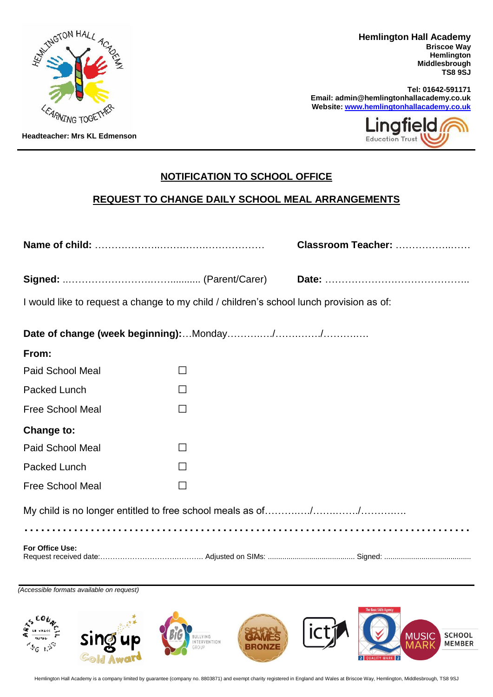

**Hemlington Hall Academy Briscoe Way Hemlington Middlesbrough TS8 9SJ**

**Tel: 01642-591171 Email: admin@hemlingtonhallacademy.co.uk Website[: www.hemlingtonhallacademy.co.uk](http://www.hemlingtonhallacademy.co.uk/)**



**Headteacher: Mrs KL Edmenson**

## **NOTIFICATION TO SCHOOL OFFICE**

## **REQUEST TO CHANGE DAILY SCHOOL MEAL ARRANGEMENTS**

|                                                                                         |        | Classroom Teacher: |
|-----------------------------------------------------------------------------------------|--------|--------------------|
|                                                                                         |        |                    |
| I would like to request a change to my child / children's school lunch provision as of: |        |                    |
|                                                                                         |        |                    |
| From:                                                                                   |        |                    |
| <b>Paid School Meal</b>                                                                 | П      |                    |
| Packed Lunch                                                                            | $\Box$ |                    |
| <b>Free School Meal</b>                                                                 | $\Box$ |                    |
| Change to:                                                                              |        |                    |
| <b>Paid School Meal</b>                                                                 | П      |                    |
| Packed Lunch                                                                            |        |                    |
| <b>Free School Meal</b>                                                                 | П      |                    |
|                                                                                         |        |                    |
|                                                                                         |        |                    |
| For Office Use:                                                                         |        |                    |

*(Accessible formats available on request)*



Hemlington Hall Academy is a company limited by guarantee (company no. 8803871) and exempt charity registered in England and Wales at Briscoe Way, Hemlington, Middlesbrough, TS8 9SJ